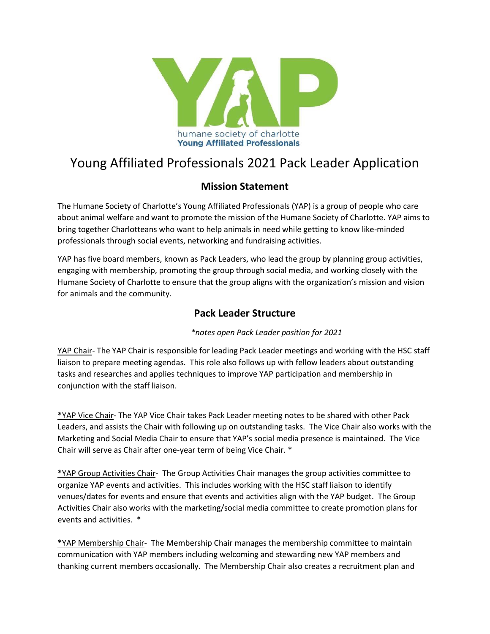

# Young Affiliated Professionals 2021 Pack Leader Application

## **Mission Statement**

The Humane Society of Charlotte's Young Affiliated Professionals (YAP) is a group of people who care about animal welfare and want to promote the mission of the Humane Society of Charlotte. YAP aims to bring together Charlotteans who want to help animals in need while getting to know like-minded professionals through social events, networking and fundraising activities.

YAP has five board members, known as Pack Leaders, who lead the group by planning group activities, engaging with membership, promoting the group through social media, and working closely with the Humane Society of Charlotte to ensure that the group aligns with the organization's mission and vision for animals and the community.

## **Pack Leader Structure**

#### *\*notes open Pack Leader position for 2021*

YAP Chair- The YAP Chair is responsible for leading Pack Leader meetings and working with the HSC staff liaison to prepare meeting agendas. This role also follows up with fellow leaders about outstanding tasks and researches and applies techniques to improve YAP participation and membership in conjunction with the staff liaison.

**\***YAP Vice Chair- The YAP Vice Chair takes Pack Leader meeting notes to be shared with other Pack Leaders, and assists the Chair with following up on outstanding tasks. The Vice Chair also works with the Marketing and Social Media Chair to ensure that YAP's social media presence is maintained. The Vice Chair will serve as Chair after one-year term of being Vice Chair. \*

**\***YAP Group Activities Chair- The Group Activities Chair manages the group activities committee to organize YAP events and activities. This includes working with the HSC staff liaison to identify venues/dates for events and ensure that events and activities align with the YAP budget. The Group Activities Chair also works with the marketing/social media committee to create promotion plans for events and activities. \*

**\***YAP Membership Chair- The Membership Chair manages the membership committee to maintain communication with YAP members including welcoming and stewarding new YAP members and thanking current members occasionally. The Membership Chair also creates a recruitment plan and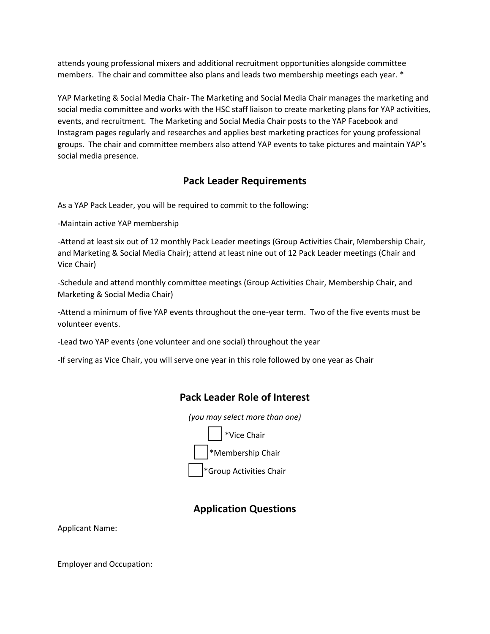attends young professional mixers and additional recruitment opportunities alongside committee members. The chair and committee also plans and leads two membership meetings each year. \*

YAP Marketing & Social Media Chair- The Marketing and Social Media Chair manages the marketing and social media committee and works with the HSC staff liaison to create marketing plans for YAP activities, events, and recruitment. The Marketing and Social Media Chair posts to the YAP Facebook and Instagram pages regularly and researches and applies best marketing practices for young professional groups. The chair and committee members also attend YAP events to take pictures and maintain YAP's social media presence.

## **Pack Leader Requirements**

As a YAP Pack Leader, you will be required to commit to the following:

-Maintain active YAP membership

-Attend at least six out of 12 monthly Pack Leader meetings (Group Activities Chair, Membership Chair, and Marketing & Social Media Chair); attend at least nine out of 12 Pack Leader meetings (Chair and Vice Chair)

-Schedule and attend monthly committee meetings (Group Activities Chair, Membership Chair, and Marketing & Social Media Chair)

-Attend a minimum of five YAP events throughout the one-year term. Two of the five events must be volunteer events.

-Lead two YAP events (one volunteer and one social) throughout the year

-If serving as Vice Chair, you will serve one year in this role followed by one year as Chair

### **Pack Leader Role of Interest**

*(you may select more than one)*



## **Application Questions**

Applicant Name:

Employer and Occupation: